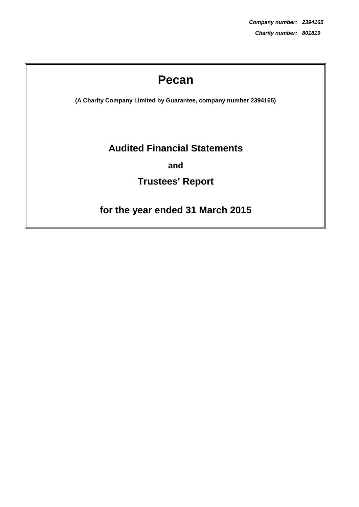# **Pecan**

**(A Charity Company Limited by Guarantee, company number 2394165)**

# **Audited Financial Statements**

**and**

# **Trustees' Report**

# **for the year ended 31 March 2015**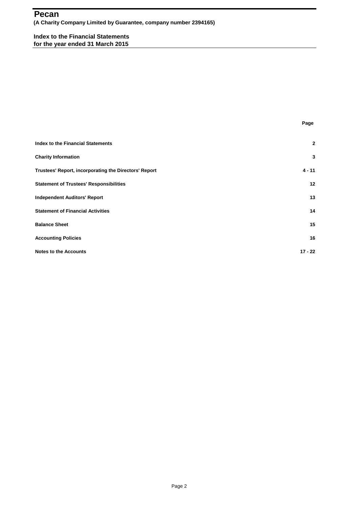## AT **Pecan (A Charity Company Limited by Guarantee, company number 2394165)**

**Index to the Financial Statements for the year ended 31 March 2015**

| $\overline{2}$ |
|----------------|
| 3              |
| $4 - 11$       |
| 12             |
| 13             |
| 14             |
| 15             |
| 16             |
| $17 - 22$      |
|                |

**Page**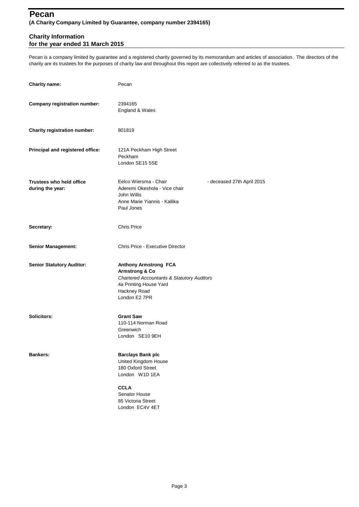## AT **Pecan (A Charity Company Limited by Guarantee, company number 2394165)**

### **Charity Information for the year ended 31 March 2015**

Pecan is a company limited by guarantee and a registered charity governed by its memorandum and articles of association. The directors of the charity are its trustees for the purposes of charity law and throughout this report are collectively referred to as the trustees.

| <b>Charity name:</b>                                | Pecan                                                                                                                                                                         |                            |
|-----------------------------------------------------|-------------------------------------------------------------------------------------------------------------------------------------------------------------------------------|----------------------------|
| <b>Company registration number:</b>                 | 2394165<br>England & Wales                                                                                                                                                    |                            |
| Charity registration number:                        | 801819                                                                                                                                                                        |                            |
| Principal and registered office:                    | 121A Peckham High Street<br>Peckham<br>London SE15 5SE                                                                                                                        |                            |
| <b>Trustees who held office</b><br>during the year: | Eelco Wiersma - Chair<br>Aderemi Okeshola - Vice chair<br>John Willis<br>Anne Marie Yiannis - Kallika<br>Paul Jones                                                           | - deceased 27th April 2015 |
| Secretary:                                          | <b>Chris Price</b>                                                                                                                                                            |                            |
| <b>Senior Management:</b>                           | Chris Price - Executive Director                                                                                                                                              |                            |
| <b>Senior Statutory Auditor:</b>                    | <b>Anthony Armstrong FCA</b><br><b>Armstrong &amp; Co</b><br><b>Chartered Accountants &amp; Statutory Auditors</b><br>4a Printing House Yard<br>Hackney Road<br>London E2 7PR |                            |
| Solicitors:                                         | <b>Grant Saw</b><br>110-114 Norman Road<br>Greenwich<br>London SE10 9EH                                                                                                       |                            |
| <b>Bankers:</b>                                     | <b>Barclays Bank plc</b><br>United Kingdom House<br>180 Oxford Street<br>London W1D 1EA<br><b>CCLA</b><br>Senator House<br>85 Victoria Street<br>London EC4V 4ET              |                            |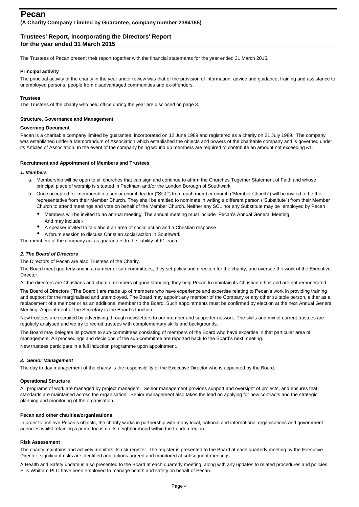The Trustees of Pecan present their report together with the financial statements for the year ended 31 March 2015.

### **Principal activity**

The principal activity of the charity in the year under review was that of the provision of information, advice and guidance, training and assistance to unemployed persons, people from disadvantaged communities and ex-offenders.

### **Trustees**

The Trustees of the charity who held office during the year are disclosed on page 3.

### **Structure, Governance and Management**

### **Governing Document**

Pecan is a charitable company limited by guarantee, incorporated on 12 June 1989 and registered as a charity on 21 July 1989. The company was established under a Memorandum of Association which established the objects and powers of the charitable company and is governed under its Articles of Association. In the event of the company being wound up members are required to contribute an amount not exceeding £1.

### **Recruitment and Appointment of Members and Trustees**

### *1. Members*

- a. Membership will be open to all churches that can sign and continue to affirm the Churches Together Statement of Faith and whose principal place of worship is situated in Peckham and/or the London Borough of Southwark
- b. Once accepted for membership a senior church leader ("SCL") from each member church ("Member Church") will be invited to be the representative from their Member Church. They shall be entitled to nominate in writing a different person ("Substitute") from their Member Church to attend meetings and vote on behalf of the Member Church. Neither any SCL nor any Substitute may be employed by Pecan
	- $\bullet$ Members will be invited to an annual meeting. The annual meeting must include Pecan's Annual General Meeting
	- And may include:-
	- $\bullet$ A speaker invited to talk about an area of social action and a Christian response
- $\bullet$ A forum session to discuss Christian social action in Southwark

The members of the company act as guarantors to the liability of £1 each.

### *2. The Board of Directors*

The Directors of Pecan are also Trustees of the Charity.

The Board meet quarterly and in a number of sub-committees; they set policy and direction for the charity, and oversee the work of the Executive Director.

All the directors are Christians and church members of good standing; they help Pecan to maintain its Christian ethos and are not remunerated.

The Board of Directors ('The Board') are made up of members who have experience and expertise relating to Pecan's work in providing training and support for the marginalised and unemployed. The Board may appoint any member of the Company or any other suitable person, either as a replacement of a member or as an additional member to the Board. Such appointments must be confirmed by election at the next Annual General Meeting. Appointment of the Secretary is the Board's function.

New trustees are recruited by advertising through newsletters to our member and supporter network. The skills and mix of current trustees are regularly analysed and we try to recruit trustees with complementary skills and backgrounds.

The Board may delegate its powers to sub-committees consisting of members of the Board who have expertise in that particular area of management. All proceedings and decisions of the sub-committee are reported back to the Board's next meeting.

New trustees participate in a full induction programme upon appointment.

### *3. Senior Management*

The day to day management of the charity is the responsibility of the Executive Director who is appointed by the Board.

### **Operational Structure**

All programs of work are managed by project managers. Senior management provides support and oversight of projects, and ensures that standards are maintained across the organisation. Senior management also takes the lead on applying for new contracts and the strategic planning and monitoring of the organisation.

### **Pecan and other charities/organisations**

In order to achieve Pecan's objects, the charity works in partnership with many local, national and international organisations and government agencies whilst retaining a prime focus on its neighbourhood within the London region.

### **Risk Assessment**

The charity maintains and actively monitors its risk register. The register is presented to the Board at each quarterly meeting by the Executive Director; significant risks are identified and actions agreed and monitored at subsequent meetings.

A Health and Safety update is also presented to the Board at each quarterly meeting, along with any updates to related procedures and policies. Ellis Whittam PLC have been employed to manage health and safety on behalf of Pecan.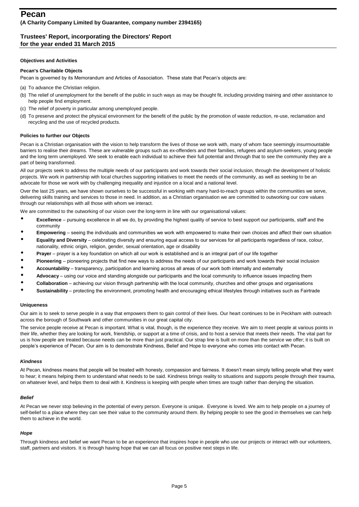### **Objectives and Activities**

### **Pecan's Charitable Objects**

Pecan is governed by its Memorandum and Articles of Association. These state that Pecan's objects are:

- (a) To advance the Christian religion.
- (b) The relief of unemployment for the benefit of the public in such ways as may be thought fit, including providing training and other assistance to help people find employment.
- (c) The relief of poverty in particular among unemployed people.
- (d) To preserve and protect the physical environment for the benefit of the public by the promotion of waste reduction, re-use, reclamation and recycling and the use of recycled products.

### **Policies to further our Objects**

Pecan is a Christian organisation with the vision to help transform the lives of those we work with, many of whom face seemingly insurmountable barriers to realise their dreams. These are vulnerable groups such as ex-offenders and their families, refugees and asylum-seekers, young people and the long term unemployed. We seek to enable each individual to achieve their full potential and through that to see the community they are a part of being transformed.

All our projects seek to address the multiple needs of our participants and work towards their social inclusion, through the development of holistic projects. We work in partnership with local churches supporting initiatives to meet the needs of the community, as well as seeking to be an advocate for those we work with by challenging inequality and injustice on a local and a national level.

Over the last 25 years, we have shown ourselves to be successful in working with many hard-to-reach groups within the communities we serve, delivering skills training and services to those in need. In addition, as a Christian organisation we are committed to outworking our core values through our relationships with all those with whom we interact.

We are committed to the outworking of our vision over the long-term in line with our organisational values:

- $\bullet$ **Excellence** – pursuing excellence in all we do, by providing the highest quality of service to best support our participants, staff and the community
- $\bullet$ **Empowering** – seeing the individuals and communities we work with empowered to make their own choices and affect their own situation
- $\bullet$ **Equality and Diversity** – celebrating diversity and ensuring equal access to our services for all participants regardless of race, colour, nationality, ethnic origin, religion, gender, sexual orientation, age or disability
- $\bullet$ **Prayer** – prayer is a key foundation on which all our work is established and is an integral part of our life together
- $\bullet$ **Pioneering** – pioneering projects that find new ways to address the needs of our participants and work towards their social inclusion
- $\bullet$ **Accountability** – transparency, participation and learning across all areas of our work both internally and externally
- $\bullet$ **Advocacy** – using our voice and standing alongside our participants and the local community to influence issues impacting them
- $\bullet$ **Collaboration** – achieving our vision through partnership with the local community, churches and other groups and organisations
- $\bullet$ **Sustainability** – protecting the environment, promoting health and encouraging ethical lifestyles through initiatives such as Fairtrade

### **Uniqueness**

Our aim is to seek to serve people in a way that empowers them to gain control of their lives. Our heart continues to be in Peckham with outreach across the borough of Southwark and other communities in our great capital city.

The service people receive at Pecan is important. What is vital, though, is the experience they receive. We aim to meet people at various points in their life, whether they are looking for work, friendship, or support at a time of crisis, and to host a service that meets their needs. The vital part for us is how people are treated because needs can be more than just practical. Our strap line is built on more than the service we offer; it is built on people's experience of Pecan. Our aim is to demonstrate Kindness, Belief and Hope to everyone who comes into contact with Pecan.

### *Kindness*

At Pecan, kindness means that people will be treated with honesty, compassion and fairness. It doesn't mean simply telling people what they want to hear; it means helping them to understand what needs to be said. Kindness brings reality to situations and supports people through their trauma, on whatever level, and helps them to deal with it. Kindness is keeping with people when times are tough rather than denying the situation.

### *Belief*

At Pecan we never stop believing in the potential of every person. Everyone is unique. Everyone is loved. We aim to help people on a journey of self-belief to a place where they can see their value to the community around them. By helping people to see the good in themselves we can help them to achieve in the world.

### *Hope*

Through kindness and belief we want Pecan to be an experience that inspires hope in people who use our projects or interact with our volunteers, staff, partners and visitors. It is through having hope that we can all focus on positive next steps in life.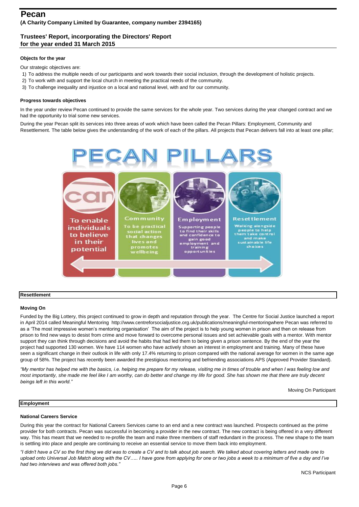### **Objects for the year**

Our strategic objectives are:

- 1) To address the multiple needs of our participants and work towards their social inclusion, through the development of holistic projects.
- 2) To work with and support the local church in meeting the practical needs of the community.
- 3) To challenge inequality and injustice on a local and national level, with and for our community.

### **Progress towards objectives**

In the year under review Pecan continued to provide the same services for the whole year. Two services during the year changed contract and we had the opportunity to trial some new services.

During the year Pecan split its services into three areas of work which have been called the Pecan Pillars: Employment, Community and Resettlement. The table below gives the understanding of the work of each of the pillars. All projects that Pecan delivers fall into at least one pillar;



### **Resettlement**

### **Moving On**

Funded by the Big Lottery, this project continued to grow in depth and reputation through the year. The Centre for Social Justice launched a report in April 2014 called Meaningful Mentoring http://www.centreforsocialjustice.org.uk/publications/meaningful-mentoringwhere Pecan was referred to as a 'The most impressive women's mentoring organisation' The aim of the project is to help young women in prison and then on release from prison to find new ways to desist from crime and move forward to overcome personal issues and set achievable goals with a mentor. With mentor support they can think through decisions and avoid the habits that had led them to being given a prison sentence. By the end of the year the project had supported 130 women. We have 114 women who have actively shown an interest in employment and training. Many of these have seen a significant change in their outlook in life with only 17.4% returning to prison compared with the national average for women in the same age group of 58%. The project has recently been awarded the prestigious mentoring and befriending associations APS (Approved Provider Standard).

*"My mentor has helped me with the basics, i.e. helping me prepare for my release, visiting me in times of trouble and when I was feeling low and*  most importantly, she made me feel like I am worthy, can do better and change my life for good. She has shown me that there are truly decent *beings left in this world."*

Moving On Participant

### **Employment**

### **National Careers Service**

During this year the contract for National Careers Services came to an end and a new contract was launched. Prospects continued as the prime provider for both contracts. Pecan was successful in becoming a provider in the new contract. The new contract is being offered in a very different way. This has meant that we needed to re-profile the team and make three members of staff redundant in the process. The new shape to the team is settling into place and people are continuing to receive an essential service to move them back into employment.

*"I didn't have a CV so the first thing we did was to create a CV and to talk about job search. We talked about covering letters and made one to upload onto Universal Job Match along with the CV….. I have gone from applying for one or two jobs a week to a minimum of five a day and I've had two interviews and was offered both jobs."*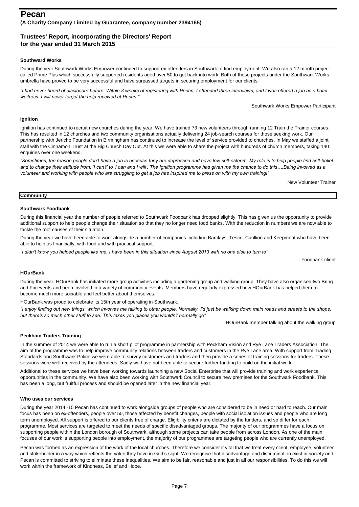### **Southward Works**

During the year Southwark Works Empower continued to support ex-offenders in Southwark to find employment. We also ran a 12 month project called Prime Plus which successfully supported residents aged over 50 to get back into work. Both of these projects under the Southwark Works umbrella have proved to be very successful and have surpassed targets in securing employment for our clients.

*"I had never heard of disclosure before. Within 3 weeks of registering with Pecan, I attended three interviews, and I was offered a job as a hotel waitress. I will never forget the help received at Pecan."*

Southwark Works Empower Participant

### **Ignition**

Ignition has continued to recruit new churches during the year. We have trained 73 new volunteers through running 12 Train the Trainer courses. This has resulted in 12 churches and two community organisations actually delivering 24 job-search courses for those seeking work. Our partnership with Jericho Foundation in Birmingham has continued to increase the level of service provided to churches. In May we staffed a joint stall with the Cinnamon Trust at the Big Church Day Out. At this we were able to share the project with hundreds of church members, taking 140 enquiries over one weekend.

"Sometimes, the reason people don't have a job is because they are depressed and have low self-esteem. My role is to help people find self-belief and to change their attitude from, 'I can't' to 'I can and I will'. The Ignition programme has given me the chance to do this....Being involved as a *volunteer and working with people who are struggling to get a job has inspired me to press on with my own training!"* 

New Volunteer Trainer

### **Community**

### **Southwark Foodbank**

During this financial year the number of people referred to Southwark Foodbank has dropped slightly. This has given us the opportunity to provide additional support to help people change their situation so that they no longer need food banks. With the reduction in numbers we are now able to tackle the root causes of their situation.

During the year we have been able to work alongside a number of companies including Barclays, Tesco, Carillion and Keepmoat who have been able to help us financially, with food and with practical support.

*"I didn't know you helped people like me, I have been in this situation since August 2013 with no one else to turn to"*

Foodbank client

### **HOurBank**

During the year, HOurBank has initiated more group activities including a gardening group and walking group. They have also organised two Bring and Fix events and been involved in a variety of community events. Members have regularly expressed how HOurBank has helped them to become much more sociable and feel better about themselves.

HOurBank was proud to celebrate its 15th year of operating in Southwark.

*"I enjoy finding out new things, which involves me talking to other people. Normally, I'd just be walking down main roads and streets to the shops, but there's so much other stuff to see. This takes you places you wouldn't normally go".*

HOurBank member talking about the walking group

### **Peckham Traders Training**

In the summer of 2014 we were able to run a short pilot programme in partnership with Peckham Vision and Rye Lane Traders Association. The aim of the programme was to help improve community relations between traders and customers in the Rye Lane area. With support from Trading Standards and Southwark Police we were able to survey customers and traders and then provide a series of training sessions for traders. These sessions were well received by the attendees. Sadly we have not been able to secure further funding to build on the initial work.

Additional to these services we have been working towards launching a new Social Enterprise that will provide training and work experience opportunities in the community. We have also been working with Southwark Council to secure new premises for the Southwark Foodbank. This has been a long, but fruitful process and should be opened later in the new financial year.

### **Who uses our services**

During the year 2014 -15 Pecan has continued to work alongside groups of people who are considered to be in need or hard to reach. Our main focus has been on ex-offenders, people over 50, those affected by benefit changes, people with social isolation issues and people who are long term unemployed. All support is offered to our clients free of charge. Eligibility criteria are dictated by the funders, and so differ for each programme. Most services are targeted to meet the needs of specific disadvantaged groups. The majority of our programmes have a focus on supporting people within the London borough of Southwark, although some projects can take people from across London. As one of the main focuses of our work is supporting people into employment, the majority of our programmes are targeting people who are currently unemployed.

Pecan was formed as an expression of the work of the local churches. Therefore we consider it vital that we treat every client, employee, volunteer and stakeholder in a way which reflects the value they have in God's sight. We recognise that disadvantage and discrimination exist in society and Pecan is committed to striving to eliminate these inequalities. We aim to be fair, reasonable and just in all our responsibilities. To do this we will work within the framework of Kindness, Belief and Hope.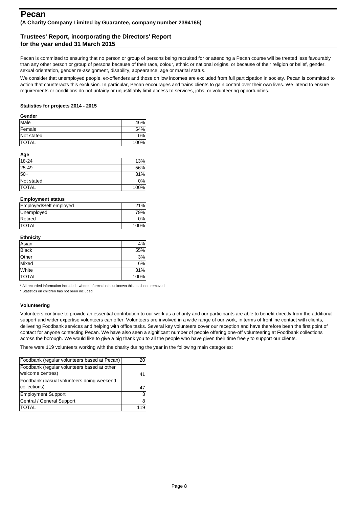Pecan is committed to ensuring that no person or group of persons being recruited for or attending a Pecan course will be treated less favourably than any other person or group of persons because of their race, colour, ethnic or national origins, or because of their religion or belief, gender, sexual orientation, gender re-assignment, disability, appearance, age or marital status.

We consider that unemployed people, ex-offenders and those on low incomes are excluded from full participation in society. Pecan is committed to action that counteracts this exclusion. In particular, Pecan encourages and trains clients to gain control over their own lives. We intend to ensure requirements or conditions do not unfairly or unjustifiably limit access to services, jobs, or volunteering opportunities.

### **Statistics for projects 2014 - 2015**

### **Gender**

| Male          | 46%  |
|---------------|------|
| <b>Female</b> | 54%  |
| Not stated    | 0%   |
| <b>TOTAL</b>  | 100% |

#### **Age**

| 18-24        | 13%  |
|--------------|------|
| 25-49        | 56%  |
| $50+$        | 31%  |
| Not stated   | 0%   |
| <b>TOTAL</b> | 100% |

### **Employment status**

| Employed/Self employed | 21%  |
|------------------------|------|
| Unemployed             | 79%  |
| Retired                | 0%   |
| <b>TOTAL</b>           | 100% |

### **Ethnicity**

| Asian        | 4%   |
|--------------|------|
| <b>Black</b> | 55%  |
| Other        | 3%   |
| Mixed        | 6%   |
| White        | 31%  |
| <b>TOTAL</b> | 100% |

\* All recorded information included - where information is unknown this has been removed

\* Statistics on children has not been included

### **Volunteering**

Volunteers continue to provide an essential contribution to our work as a charity and our participants are able to benefit directly from the additional support and wider expertise volunteers can offer. Volunteers are involved in a wide range of our work, in terms of frontline contact with clients, delivering Foodbank services and helping with office tasks. Several key volunteers cover our reception and have therefore been the first point of contact for anyone contacting Pecan. We have also seen a significant number of people offering one-off volunteering at Foodbank collections across the borough. We would like to give a big thank you to all the people who have given their time freely to support our clients.

There were 119 volunteers working with the charity during the year in the following main categories:

| Foodbank (regular volunteers based at Pecan) |   |
|----------------------------------------------|---|
| Foodbank (regular volunteers based at other  |   |
| welcome centres)                             |   |
| Foodbank (casual volunteers doing weekend    |   |
| collections)                                 |   |
| <b>Employment Support</b>                    | 3 |
| Central / General Support                    |   |
| <b>TOTAL</b>                                 |   |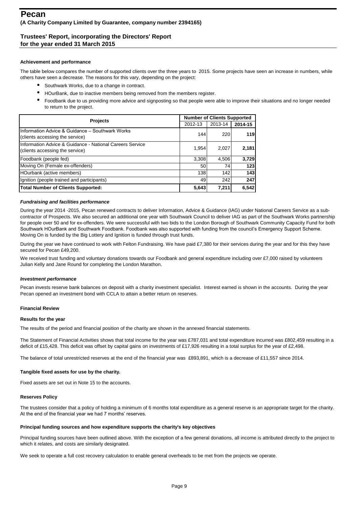### **Achievement and performance**

The table below compares the number of supported clients over the three years to 2015. Some projects have seen an increase in numbers, while others have seen a decrease. The reasons for this vary, depending on the project:

- $\bullet$ Southwark Works, due to a change in contract.
- $\bullet$ HOurBank, due to inactive members being removed from the members register.
- $\bullet$ Foodbank due to us providing more advice and signposting so that people were able to improve their situations and no longer needed to return to the project.

| <b>Projects</b>                                                                             | <b>Number of Clients Supported</b> |         |         |  |
|---------------------------------------------------------------------------------------------|------------------------------------|---------|---------|--|
|                                                                                             | 2012-13                            | 2013-14 | 2014-15 |  |
| Information Advice & Guidance - Southwark Works<br>(clients accessing the service)          | 144                                | 220     | 119     |  |
| Information Advice & Guidance - National Careers Service<br>(clients accessing the service) | 1,954                              | 2,027   | 2,181   |  |
| Foodbank (people fed)                                                                       | 3,308                              | 4,506   | 3,729   |  |
| Moving On (Female ex-offenders)                                                             | 50                                 | 74      | 123     |  |
| HOurbank (active members)                                                                   | 138                                | 142     | 143     |  |
| Ignition (people trained and participants)                                                  | 49                                 | 242     | 247     |  |
| Total Number of Clients Supported:                                                          | 5,643                              | 7,211   | 6,542   |  |

### *Fundraising and facilities performance*

During the year 2014 -2015, Pecan renewed contracts to deliver Information, Advice & Guidance (IAG) under National Careers Service as a subcontractor of Prospects. We also secured an additional one year with Southwark Council to deliver IAG as part of the Southwark Works partnership for people over 50 and for ex-offenders. We were successful with two bids to the London Borough of Southwark Community Capacity Fund for both Southwark HOurBank and Southwark Foodbank. Foodbank was also supported with funding from the council's Emergency Support Scheme. Moving On is funded by the Big Lottery and Ignition is funded through trust funds.

During the year we have continued to work with Felton Fundraising. We have paid £7,380 for their services during the year and for this they have secured for Pecan £49,200.

We received trust funding and voluntary donations towards our Foodbank and general expenditure including over £7,000 raised by volunteers Julian Kelly and Jane Round for completing the London Marathon.

### *Investment performance*

Pecan invests reserve bank balances on deposit with a charity investment specialist. Interest earned is shown in the accounts. During the year Pecan opened an investment bond with CCLA to attain a better return on reserves.

### **Financial Review**

### **Results for the year**

The results of the period and financial position of the charity are shown in the annexed financial statements.

The Statement of Financial Activities shows that total income for the year was £787,031 and total expenditure incurred was £802,459 resulting in a deficit of £15,428. This deficit was offset by capital gains on investments of £17,926 resulting in a total surplus for the year of £2,498.

The balance of total unrestricted reserves at the end of the financial year was £893,891, which is a decrease of £11,557 since 2014.

### **Tangible fixed assets for use by the charity.**

Fixed assets are set out in Note 15 to the accounts.

### **Reserves Policy**

The trustees consider that a policy of holding a minimum of 6 months total expenditure as a general reserve is an appropriate target for the charity. At the end of the financial year we had 7 months' reserves.

### **Principal funding sources and how expenditure supports the charity's key objectives**

Principal funding sources have been outlined above. With the exception of a few general donations, all income is attributed directly to the project to which it relates, and costs are similarly designated.

We seek to operate a full cost recovery calculation to enable general overheads to be met from the projects we operate.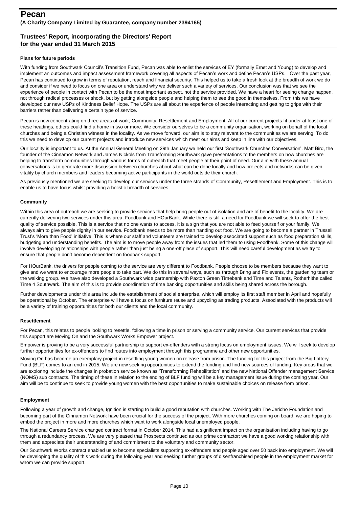### **Plans for future periods**

With funding from Southwark Council's Transition Fund, Pecan was able to enlist the services of EY (formally Ernst and Young) to develop and implement an outcomes and impact assessment framework covering all aspects of Pecan's work and define Pecan's USPs. Over the past year, Pecan has continued to grow in terms of reputation, reach and financial security. This helped us to take a fresh look at the breadth of work we do and consider if we need to focus on one area or understand why we deliver such a variety of services. Our conclusion was that we see the experience of people in contact with Pecan to be the most important aspect, not the service provided. We have a heart for seeing change happen, not through radical processes or shock, but by getting alongside people and helping them to see the good in themselves. From this we have developed our new USPs of Kindness Belief Hope. The USPs are all about the experience of people interacting and getting to grips with their barriers rather than delivering a certain type of service.

Pecan is now concentrating on three areas of work; Community, Resettlement and Employment. All of our current projects fit under at least one of these headings, others could find a home in two or more. We consider ourselves to be a community organisation, working on behalf of the local churches and being a Christian witness in the locality. As we move forward, our aim is to stay relevant to the communities we are serving. To do this we need to develop our current projects and introduce new services which meet our aims and keep in line with our objectives.

Our locality is important to us. At the Annual General Meeting on 29th January we held our first 'Southwark Churches Conversation'. Matt Bird, the founder of the Cinnamon Network and James Nickols from Transforming Southwark gave presentations to the members on how churches are helping to transform communities through various forms of outreach that meet people at their point of need. Our aim with these annual conversations is to generate more discussion between churches about what can be done locally and how projects and networks can be given vitality by church members and leaders becoming active participants in the world outside their church.

As previously mentioned we are seeking to develop our services under the three strands of Community, Resettlement and Employment. This is to enable us to have focus whilst providing a holistic breadth of services.

### **Community**

Within this area of outreach we are seeking to provide services that help bring people out of isolation and are of benefit to the locality. We are currently delivering two services under this area; Foodbank and HOurBank. While there is still a need for Foodbank we will seek to offer the best quality of service possible. This is a service that no one wants to access, it is a sign that you are not able to feed yourself or your family. We always aim to give people dignity in our service. Foodbank needs to be more than handing out food. We are going to become a partner in Trussell Trust's 'More than Food' initiative. This is where our staff and volunteers are trained to develop associated support such as food preparation skills, budgeting and understanding benefits. The aim is to move people away from the issues that led them to using Foodbank. Some of this change will involve developing relationships with people rather than just being a one-off place of support. This will need careful development as we try to ensure that people don't become dependent on foodbank support.

For HOurBank, the drivers for people coming to the service are very different to Foodbank. People choose to be members because they want to give and we want to encourage more people to take part. We do this in several ways, such as through Bring and Fix events, the gardening team or the walking group. We have also developed a Southwark wide partnership with Paxton Green Timebank and Time and Talents, Rotherhithe called Time 4 Southwark. The aim of this is to provide coordination of time banking opportunities and skills being shared across the borough.

Further developments under this area include the establishment of social enterprise, which will employ its first staff member in April and hopefully be operational by October. The enterprise will have a focus on furniture reuse and upcycling as trading products. Associated with the products will be a variety of training opportunities for both our clients and the local community.

### **Resettlement**

For Pecan, this relates to people looking to resettle, following a time in prison or serving a community service. Our current services that provide this support are Moving On and the Southwark Works Empower project.

Empower is proving to be a very successful partnership to support ex-offenders with a strong focus on employment issues. We will seek to develop further opportunities for ex-offenders to find routes into employment through this programme and other new opportunities.

Moving On has become an exemplary project in resettling young women on release from prison. The funding for this project from the Big Lottery Fund (BLF) comes to an end in 2015. We are now seeking opportunities to extend the funding and find new sources of funding. Key areas that we are exploring include the changes in probation service known as 'Transforming Rehabilitation' and the new National Offender management Service (NOMS) sub contracts. The timing of these in relation to the ending of BLF funding will be a key management issue during the coming year. Our aim will be to continue to seek to provide young women with the best opportunities to make sustainable choices on release from prison.

### **Employment**

Following a year of growth and change, Ignition is starting to build a good reputation with churches. Working with The Jericho Foundation and becoming part of the Cinnamon Network have been crucial for the success of the project. With more churches coming on board, we are hoping to embed the project in more and more churches which want to work alongside local unemployed people.

The National Careers Service changed contract format in October 2014. This had a significant impact on the organisation including having to go through a redundancy process. We are very pleased that Prospects continued as our prime contractor; we have a good working relationship with them and appreciate their understanding of and commitment to the voluntary and community sector.

Our Southwark Works contract enabled us to become specialists supporting ex-offenders and people aged over 50 back into employment. We will be developing the quality of this work during the following year and seeking further groups of disenfranchised people in the employment market for whom we can provide support.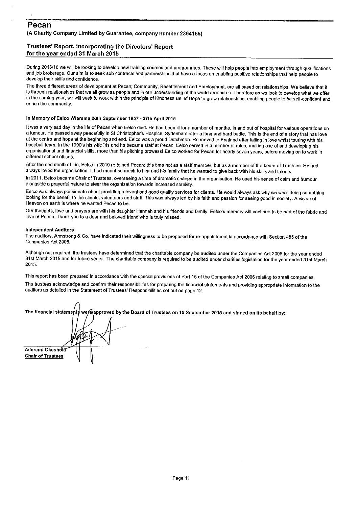### Pecan (A Charity Company Limited by Guarantee, company number 2394165)

### Trustees' Report, incorporating the Directors' Report for the year ended 31 March 2015

During 2015/16 we will be looking to develop new training courses and programmes. These will help people into employment through qualifications and job brokerage. Our aim is to seek sub contracts and partnerships that have a focus on enabling positive relationships that help people to develop their skills and confidence.

The three different areas of development at Pecan; Community, Resettlement and Employment, are all based on relationships. We believe that it is through relationships that we all grow as people and in our understanding of the world around us. Therefore as we look to develop what we offer in the coming year, we will seek to work within the principle of Kindness Bellef Hope to grow relationships, enabling people to be self-confident and enrich the community.

### In Memory of Eelco Wiersma 28th September 1957 - 27th April 2015

It was a very sad day in the life of Pecan when Eelco died. He had been ill for a number of months, in and out of hospital for various operations on a tumour. He passed away peacefully in St Christopher's Hospice, Sydenham after a long and hard battle. This is the end of a story that has love at the centre and hope at the beginning and end. Eelco was a proud Dutchman. He moved to England after falling in love whilst touring with his baseball team. In the 1990's his wife Iris and he became staff at Pecan. Eelco served in a number of roles, making use of and developing his organisational and financial skills, more than his pitching prowess! Eelco worked for Pecan for nearly seven years, before moving on to work in different school offices.

After the sad death of Iris, Eelco in 2010 re-joined Pecan; this time not as a staff member, but as a member of the board of Trustees. He had always loved the organisation. It had meant so much to him and his family that he wanted to give back with his skills and talents.

In 2011, Eelco became Chair of Trustees, overseeing a time of dramatic change in the organisation. He used his sense of calm and humour alongside a prayerful nature to steer the organisation towards increased stability.

Eelco was always passionate about providing relevant and good quality services for clients. He would always ask why we were doing something, looking for the benefit to the clients, volunteers and staff. This was always led by his faith and passion for seeing good in society. A vision of Heaven on earth is where he wanted Pecan to be.

Our thoughts, love and prayers are with his daughter Hannah and his friends and family. Eelco's memory will continue to be part of the fabric and love at Pecan. Thank you to a dear and beloved friend who is truly missed.

### **Independent Auditors**

The auditors, Armstrong & Co, have indicated their willingness to be proposed for re-appointment in accordance with Section 485 of the Companies Act 2006.

Although not required, the trustees have determined that the charitable company be audited under the Companies Act 2006 for the year ended 31st March 2015 and for future years. The charitable company is required to be audited under charities legislation for the year ended 31st March 2015.

This report has been prepared in accordance with the special provisions of Part 15 of the Companies Act 2006 relating to small companies.

The trustees acknowledge and confirm their responsibilities for preparing the financial statements and providing appropriate information to the auditors as detailed in the Statement of Trustees' Responsibilities set out on page 12.

|                          | The financial statements were approved by the Board of Trustees on 15 September 2015 and signed on its behalf by: |
|--------------------------|-------------------------------------------------------------------------------------------------------------------|
|                          |                                                                                                                   |
|                          |                                                                                                                   |
| Aderemi Okeshofa         |                                                                                                                   |
| <b>Chair of Trustees</b> |                                                                                                                   |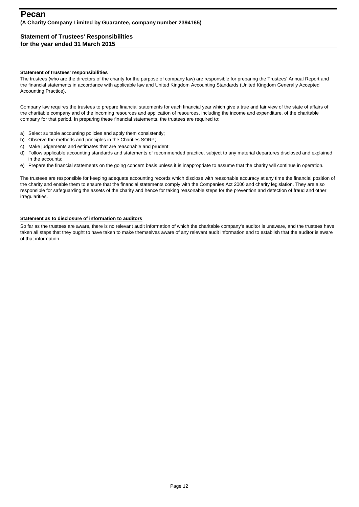### **Statement of Trustees' Responsibilities for the year ended 31 March 2015**

### **Statement of trustees' responsibilities**

The trustees (who are the directors of the charity for the purpose of company law) are responsible for preparing the Trustees' Annual Report and the financial statements in accordance with applicable law and United Kingdom Accounting Standards (United Kingdom Generally Accepted Accounting Practice).

Company law requires the trustees to prepare financial statements for each financial year which give a true and fair view of the state of affairs of the charitable company and of the incoming resources and application of resources, including the income and expenditure, of the charitable company for that period. In preparing these financial statements, the trustees are required to:

- a) Select suitable accounting policies and apply them consistently;
- b) Observe the methods and principles in the Charities SORP;
- c) Make judgements and estimates that are reasonable and prudent;
- d) Follow applicable accounting standards and statements of recommended practice, subject to any material departures disclosed and explained in the accounts;
- e) Prepare the financial statements on the going concern basis unless it is inappropriate to assume that the charity will continue in operation.

The trustees are responsible for keeping adequate accounting records which disclose with reasonable accuracy at any time the financial position of the charity and enable them to ensure that the financial statements comply with the Companies Act 2006 and charity legislation. They are also responsible for safeguarding the assets of the charity and hence for taking reasonable steps for the prevention and detection of fraud and other irregularities.

### **Statement as to disclosure of information to auditors**

So far as the trustees are aware, there is no relevant audit information of which the charitable company's auditor is unaware, and the trustees have taken all steps that they ought to have taken to make themselves aware of any relevant audit information and to establish that the auditor is aware of that information.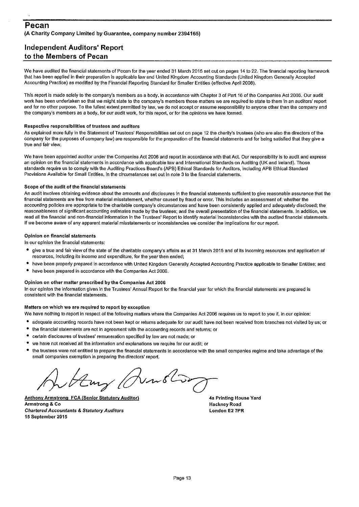# **Independent Auditors' Report** to the Members of Pecan

We have audited the financial statements of Pecan for the year ended 31 March 2015 set out on pages 14 to 22. The financial reporting framework that has been applied in their preparation is applicable law and United Kingdom Accounting Standards (United Kingdom Generally Accepted Accounting Practice) as modified by the Financial Reporting Standard for Smaller Entities (effective April 2008).

This report is made solely to the company's members as a body, in accordance with Chapter 3 of Part 16 of the Companies Act 2006. Our audit work has been undertaken so that we might state to the company's members those matters we are required to state to them in an auditors' report and for no other purpose. To the fullest extent permitted by law, we do not accept or assume responsibility to anyone other than the company and the company's members as a body, for our audit work, for this report, or for the opinions we have formed.

### Respective responsibilities of trustees and auditors

As explained more fully in the Statement of Trustees' Responsibilities set out on page 12 the charity's trustees (who are also the directors of the company for the purposes of company law) are responsible for the preparation of the financial statements and for being satisfied that they give a true and fair view.

We have been appointed auditor under the Companies Act 2006 and report in accordance with that Act. Our responsibility is to audit and express an opinion on the financial statements in accordance with applicable law and International Standards on Auditing (UK and Ireland). Those standards require us to comply with the Auditing Practices Board's (APB) Ethical Standards for Auditors, including APB Ethical Standard Provisions Available for Small Entities, in the circumstances set out in note 3 to the financial statements.

### Scope of the audit of the financial statements

An audit involves obtaining evidence about the amounts and disclosures in the financial statements sufficient to give reasonable assurance that the financial statements are free from material misstatement, whether caused by fraud or error. This includes an assessment of: whether the accounting policies are appropriate to the charitable company's circumstances and have been consistently applied and adequately disclosed; the reasonableness of significant accounting estimates made by the trustees; and the overall presentation of the financial statements. In addition, we read all the financial and non-financial information in the Trustees' Report to identify material inconsistencies with the audited financial statements. If we become aware of any apparent material misstatements or inconsistencies we consider the implications for our report.

### Opinion on financial statements

In our opinion the financial statements:

- give a true and fair view of the state of the charitable company's affairs as at 31 March 2015 and of its incoming resources and application of resources, including its income and expenditure, for the year then ended;
- have been properly prepared in accordance with United Kingdom Generally Accepted Accounting Practice applicable to Smaller Entities; and
- have been prepared in accordance with the Companies Act 2006.

### Opinion on other matter prescribed by the Companies Act 2006

In our opinion the information given in the Trustees' Annual Report for the financial year for which the financial statements are prepared is consistent with the financial statements.

### Matters on which we are required to report by exception

- We have nothing to report in respect of the following matters where the Companies Act 2006 requires us to report to you if, in our opinion:
- adequate accounting records have not been kept or returns adequate for our audit have not been received from branches not visited by us; or
- $\bullet$ the financial statements are not in agreement with the accounting records and returns; or
- $\bullet$ certain disclosures of trustees' remuneration specified by law are not made; or
- ٠ we have not received all the information and explanations we require for our audit; or
- the trustees were not entitled to prepare the financial statements in accordance with the small companies regime and take advantage of the small companies exemption in preparing the directors' report.

**Anthony Armstrong FCA (Senior Statutory Auditor)** Armstrong & Co **Chartered Accountants & Statutory Auditors** 15 September 2015

4a Printing House Yard **Hackney Road** London E2 7PR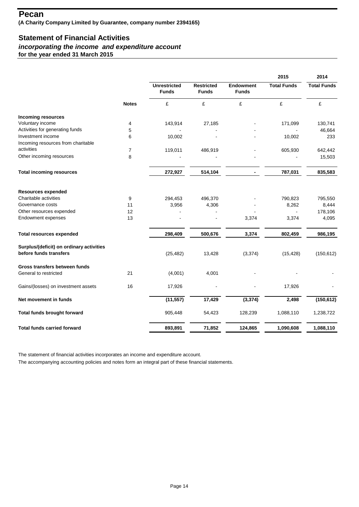# **Statement of Financial Activities**

# *incorporating the income and expenditure account*

**for the year ended 31 March 2015**

|                                                                    |                |                                     |                                   |                                  | 2015               | 2014               |
|--------------------------------------------------------------------|----------------|-------------------------------------|-----------------------------------|----------------------------------|--------------------|--------------------|
|                                                                    |                | <b>Unrestricted</b><br><b>Funds</b> | <b>Restricted</b><br><b>Funds</b> | <b>Endowment</b><br><b>Funds</b> | <b>Total Funds</b> | <b>Total Funds</b> |
|                                                                    | <b>Notes</b>   | £                                   | £                                 | £                                | £                  | £                  |
| <b>Incoming resources</b>                                          |                |                                     |                                   |                                  |                    |                    |
| Voluntary income                                                   | 4              | 143,914                             | 27,185                            |                                  | 171,099            | 130,741            |
| Activities for generating funds                                    | 5              |                                     |                                   |                                  |                    | 46,664             |
| Investment income                                                  | 6              | 10,002                              |                                   |                                  | 10,002             | 233                |
| Incoming resources from charitable                                 |                |                                     |                                   |                                  |                    |                    |
| activities                                                         | $\overline{7}$ | 119,011                             | 486,919                           |                                  | 605,930            | 642,442            |
| Other incoming resources                                           | 8              |                                     |                                   |                                  |                    | 15,503             |
| <b>Total incoming resources</b>                                    |                | 272,927                             | 514,104                           |                                  | 787,031            | 835,583            |
|                                                                    |                |                                     |                                   |                                  |                    |                    |
| <b>Resources expended</b>                                          |                |                                     |                                   |                                  |                    |                    |
| Charitable activities                                              | 9              | 294,453                             | 496,370                           |                                  | 790,823            | 795,550            |
| Governance costs                                                   | 11             | 3,956                               | 4,306                             |                                  | 8,262              | 8,444              |
| Other resources expended                                           | 12             |                                     |                                   |                                  | $\blacksquare$     | 178,106            |
| Endowment expenses                                                 | 13             |                                     |                                   | 3,374                            | 3,374              | 4,095              |
| <b>Total resources expended</b>                                    |                | 298,409                             | 500,676                           | 3,374                            | 802,459            | 986,195            |
| Surplus/(deficit) on ordinary activities<br>before funds transfers |                | (25, 482)                           | 13,428                            | (3, 374)                         | (15, 428)          | (150, 612)         |
| Gross transfers between funds                                      |                |                                     |                                   |                                  |                    |                    |
| General to restricted                                              | 21             | (4,001)                             | 4,001                             |                                  |                    |                    |
| Gains/(losses) on investment assets                                | 16             | 17,926                              |                                   |                                  | 17,926             |                    |
| Net movement in funds                                              |                | (11, 557)                           | 17,429                            | (3, 374)                         | 2,498              | (150, 612)         |
| Total funds brought forward                                        |                | 905,448                             | 54,423                            | 128,239                          | 1,088,110          | 1,238,722          |
| <b>Total funds carried forward</b>                                 |                | 893,891                             | 71,852                            | 124,865                          | 1,090,608          | 1,088,110          |
|                                                                    |                |                                     |                                   |                                  |                    |                    |

The statement of financial activities incorporates an income and expenditure account.

The accompanying accounting policies and notes form an integral part of these financial statements.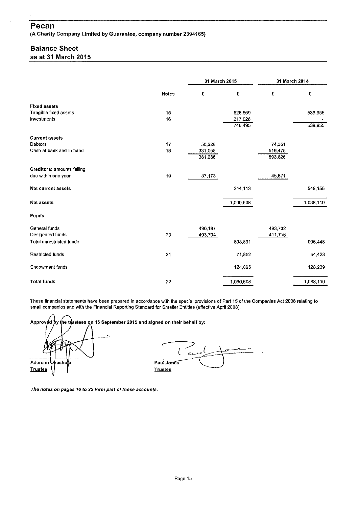## Pecan

(A Charity Company Limited by Guarantee, company number 2394165)

# **Balance Sheet**

as at 31 March 2015

|                                   |              | 31 March 2015 |           | 31 March 2014 |           |
|-----------------------------------|--------------|---------------|-----------|---------------|-----------|
|                                   | <b>Notes</b> | £             | £         | £             | £         |
| <b>Fixed assets</b>               |              |               |           |               |           |
| Tangible fixed assets             | 15           |               | 528,569   |               | 539,955   |
| Investments                       | 16           |               | 217,926   |               |           |
|                                   |              |               | 746,495   |               | 539,955   |
| <b>Current assets</b>             |              |               |           |               |           |
| Debtors                           | 17           | 50,228        |           | 74,351        |           |
| Cash at bank and In hand          | 18           | 331,058       |           | 519,475       |           |
|                                   |              | 381,286       |           | 593,826       |           |
| <b>Creditors: amounts falling</b> |              |               |           |               |           |
| due within one year               | 19           | 37,173        |           | 45,671        |           |
| <b>Net current assets</b>         |              |               | 344,113   |               | 548,155   |
| <b>Net assets</b>                 |              |               | 1,090,608 |               | 1,088,110 |
| Funds                             |              |               |           |               |           |
| General funds                     |              | 490,187       |           | 493,732       |           |
| Designated funds                  | 20           | 403,704       |           | 411,716       |           |
| <b>Total unrestricted funds</b>   |              |               | 893,891   |               | 905,448   |
| Restricted funds                  | 21           |               | 71,852    |               | 54,423    |
| <b>Endowment funds</b>            |              |               | 124,865   |               | 128,239   |
| <b>Total funds</b>                | 22           |               | 1,090,608 |               | 1,088,110 |

These financial statements have been prepared in accordance with the special provisions of Part 15 of the Companies Act 2006 relating to small companies and with the Financial Reporting Standard for Smaller Entities (effective April 2008).

,<br>he tmֲlstees oֲn 15 September 2015 and signed on their behalf by: Approved Cano ( Paul Jones Aderemi )kesho **Trustee Trustee** 

The notes on pages 16 to 22 form part of these accounts.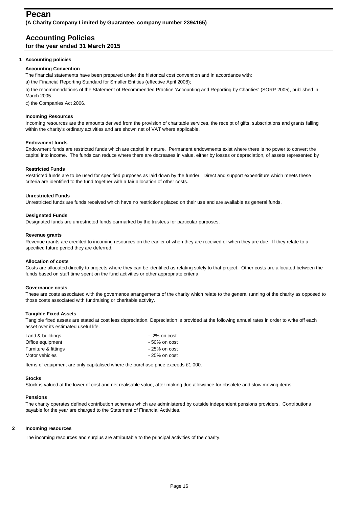### **Accounting Policies for the year ended 31 March 2015**

### **1 Accounting policies**

### **Accounting Convention**

a) the Financial Reporting Standard for Smaller Entities (effective April 2008); The financial statements have been prepared under the historical cost convention and in accordance with:

b) the recommendations of the Statement of Recommended Practice 'Accounting and Reporting by Charities' (SORP 2005), published in March 2005.

c) the Companies Act 2006.

### **Incoming Resources**

Incoming resources are the amounts derived from the provision of charitable services, the receipt of gifts, subscriptions and grants falling within the charity's ordinary activities and are shown net of VAT where applicable.

### **Endowment funds**

Endowment funds are restricted funds which are capital in nature. Permanent endowments exist where there is no power to convert the capital into income. The funds can reduce where there are decreases in value, either by losses or depreciation, of assets represented by

### **Restricted Funds**

Restricted funds are to be used for specified purposes as laid down by the funder. Direct and support expenditure which meets these criteria are identified to the fund together with a fair allocation of other costs.

### **Unrestricted Funds**

Unrestricted funds are funds received which have no restrictions placed on their use and are available as general funds.

### **Designated Funds**

Designated funds are unrestricted funds earmarked by the trustees for particular purposes.

### **Revenue grants**

Revenue grants are credited to incoming resources on the earlier of when they are received or when they are due. If they relate to a specified future period they are deferred.

### **Allocation of costs**

Costs are allocated directly to projects where they can be identified as relating solely to that project. Other costs are allocated between the funds based on staff time spent on the fund activities or other appropriate criteria.

### **Governance costs**

These are costs associated with the governance arrangements of the charity which relate to the general running of the charity as opposed to those costs associated with fundraising or charitable activity.

### **Tangible Fixed Assets**

Tangible fixed assets are stated at cost less depreciation. Depreciation is provided at the following annual rates in order to write off each asset over its estimated useful life.

| Land & buildings     | - 2% on cost    |
|----------------------|-----------------|
| Office equipment     | $-50\%$ on cost |
| Furniture & fittings | $-25%$ on cost  |
| Motor vehicles       | $-25%$ on cost  |

Items of equipment are only capitalised where the purchase price exceeds £1,000.

### **Stocks**

Stock is valued at the lower of cost and net realisable value, after making due allowance for obsolete and slow moving items.

### **Pensions**

The charity operates defined contribution schemes which are administered by outside independent pensions providers. Contributions payable for the year are charged to the Statement of Financial Activities.

### **2 Incoming resources**

The incoming resources and surplus are attributable to the principal activities of the charity.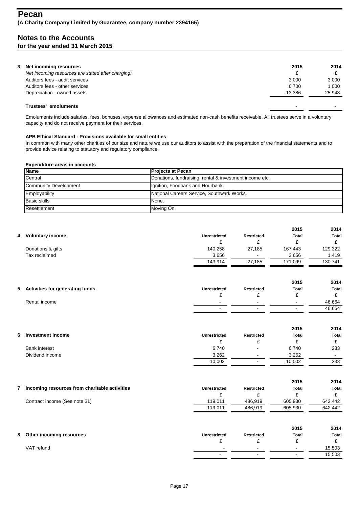| 3 Net incoming resources                          | 2015                     | 2014   |
|---------------------------------------------------|--------------------------|--------|
| Net incoming resources are stated after charging: | £                        |        |
| Auditors fees - audit services                    | 3.000                    | 3.000  |
| Auditors fees - other services                    | 6.700                    | 1.000  |
| Depreciation - owned assets                       | 13.386                   | 25.948 |
| Trustees' emoluments                              | $\overline{\phantom{0}}$ |        |

Emoluments include salaries, fees, bonuses, expense allowances and estimated non-cash benefits receivable. All trustees serve in a voluntary capacity and do not receive payment for their services.

### **APB Ethical Standard - Provisions available for small entities**

In common with many other charities of our size and nature we use our auditors to assist with the preparation of the financial statements and to provide advice relating to statutory and regulatory compliance.

### **Expenditure areas in accounts**

| <b>Name</b>                                                        | <b>Projects at Pecan</b>                   |
|--------------------------------------------------------------------|--------------------------------------------|
| Central<br>Donations, fundraising, rental & investment income etc. |                                            |
| <b>Community Development</b>                                       | Ignition, Foodbank and Hourbank.           |
| Employability                                                      | National Careers Service, Southwark Works. |
| <b>Basic skills</b>                                                | None.                                      |
| Resettlement                                                       | Moving On.                                 |

|   |                                                 |                     |                   | 2015           | 2014           |
|---|-------------------------------------------------|---------------------|-------------------|----------------|----------------|
|   | 4 Voluntary income                              | <b>Unrestricted</b> | <b>Restricted</b> | <b>Total</b>   | <b>Total</b>   |
|   |                                                 | £                   | £                 | £              | £              |
|   | Donations & gifts                               | 140,258             | 27,185            | 167,443        | 129,322        |
|   | Tax reclaimed                                   | 3,656               |                   | 3,656          | 1,419          |
|   |                                                 | 143,914             | 27,185            | 171,099        | 130,741        |
|   |                                                 |                     |                   | 2015           | 2014           |
|   | 5 Activities for generating funds               | <b>Unrestricted</b> | <b>Restricted</b> | <b>Total</b>   | <b>Total</b>   |
|   |                                                 | £                   | £                 | £              | £              |
|   | Rental income                                   |                     |                   | $\blacksquare$ | 46,664         |
|   |                                                 |                     |                   | $\blacksquare$ | 46,664         |
|   |                                                 |                     |                   | 2015           | 2014           |
| 6 | <b>Investment income</b>                        | <b>Unrestricted</b> | <b>Restricted</b> | <b>Total</b>   | <b>Total</b>   |
|   |                                                 | £                   | £                 | £              | £              |
|   | <b>Bank interest</b>                            | 6,740               |                   | 6,740          | 233            |
|   | Dividend income                                 | 3,262               |                   | 3,262          | $\blacksquare$ |
|   |                                                 | 10,002              | $\blacksquare$    | 10,002         | 233            |
|   |                                                 |                     |                   | 2015           | 2014           |
|   | 7 Incoming resources from charitable activities | <b>Unrestricted</b> | <b>Restricted</b> | <b>Total</b>   | <b>Total</b>   |
|   |                                                 | £                   | £                 | £              | £              |
|   | Contract income (See note 31)                   | 119,011             | 486,919           | 605,930        | 642,442        |
|   |                                                 | 119,011             | 486,919           | 605,930        | 642,442        |
|   |                                                 |                     |                   | 2015           | 2014           |
| 8 | Other incoming resources                        | Unrestricted        | Restricted        | <b>Total</b>   | <b>Total</b>   |
|   |                                                 | £                   | £                 | £              | £              |
|   | VAT refund                                      |                     |                   | $\blacksquare$ | 15,503         |
|   |                                                 |                     | $\blacksquare$    | $\blacksquare$ | 15,503         |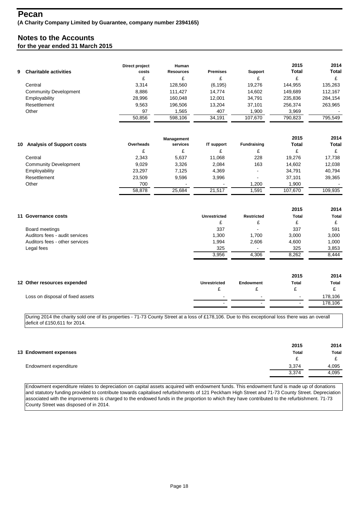| 9 Charitable activities      | Direct project<br>costs<br>c. | Human<br><b>Resources</b><br>c | <b>Premises</b> | Support<br>£ | 2015<br><b>Total</b><br>£ | 2014<br>Total |
|------------------------------|-------------------------------|--------------------------------|-----------------|--------------|---------------------------|---------------|
| Central                      | 3.314                         | 128,560                        | (6, 195)        | 19.276       | 144.955                   | 135,263       |
| <b>Community Development</b> | 8.886                         | 111.427                        | 14.774          | 14.602       | 149.689                   | 112.167       |
| Employability                | 28,996                        | 160.048                        | 12.001          | 34.791       | 235.836                   | 284,154       |
| Resettlement                 | 9.563                         | 196.506                        | 13.204          | 37.101       | 256.374                   | 263,965       |
| Other                        | 97                            | .565                           | 407             | 1,900        | 3,969                     |               |
|                              | 50.856                        | 598.106                        | 34.191          | 107.670      | 790.823                   | 795,549       |

|                                        |           | Management |                   |                          | 2015         | 2014         |
|----------------------------------------|-----------|------------|-------------------|--------------------------|--------------|--------------|
| <b>Analysis of Support costs</b><br>10 | Overheads | services   | <b>IT support</b> | <b>Fundraising</b>       | <b>Total</b> | <b>Total</b> |
|                                        | £         |            |                   |                          |              |              |
| Central                                | 2.343     | 5.637      | 11,068            | 228                      | 19.276       | 17.738       |
| <b>Community Development</b>           | 9.029     | 3.326      | 2.084             | 163                      | 14.602       | 12,038       |
| Employability                          | 23.297    | 7.125      | 4.369             | $\overline{\phantom{0}}$ | 34.791       | 40.794       |
| Resettlement                           | 23,509    | 9.596      | 3.996             | $\overline{\phantom{0}}$ | 37.101       | 39,365       |
| Other                                  | 700       |            |                   | 1,200                    | 1,900        |              |
|                                        | 58.878    | 25.684     | 21.517            | 1,591                    | 107.670      | 109.935      |

|                                |                     |                   | 2015         | 2014         |
|--------------------------------|---------------------|-------------------|--------------|--------------|
| 11 Governance costs            | <b>Unrestricted</b> | <b>Restricted</b> | <b>Total</b> | <b>Total</b> |
|                                | c                   |                   | ₽            | c.           |
| Board meetings                 | 337                 | $\blacksquare$    | 337          | 591          |
| Auditors fees - audit services | 1,300               | 1.700             | 3,000        | 3,000        |
| Auditors fees - other services | 1,994               | 2,606             | 4,600        | 1,000        |
| Legal fees                     | 325                 |                   | 325          | 3,853        |
|                                | 3,956               | 4,306             | 8,262        | 8.444        |
|                                |                     |                   |              |              |

|                                  |                          |                          | 2015                     | 2014    |
|----------------------------------|--------------------------|--------------------------|--------------------------|---------|
| 12 Other resources expended      | <b>Unrestricted</b>      | Endowment                | <b>Total</b>             | Total   |
|                                  |                          |                          |                          |         |
| Loss on disposal of fixed assets | $\overline{\phantom{0}}$ | $\overline{\phantom{a}}$ | $\sim$                   | 178,106 |
|                                  | $\overline{\phantom{a}}$ |                          | $\overline{\phantom{a}}$ | 178,106 |
|                                  |                          |                          |                          |         |

During 2014 the charity sold one of its properties - 71-73 County Street at a loss of £178,106. Due to this exceptional loss there was an overall deficit of £150,611 for 2014.

| 13 Endowment expenses | 2015<br><b>Total</b> | 2014<br><b>Total</b> |
|-----------------------|----------------------|----------------------|
|                       | ₽                    | $\sim$               |
| Endowment expenditure | 3,374                | 4,095                |
|                       | 3,374                | 4,095                |

Endowment expenditure relates to depreciation on capital assets acquired with endowment funds. This endowment fund is made up of donations and statutory funding provided to contribute towards capitalised refurbishments of 121 Peckham High Street and 71-73 County Street. Depreciation associated with the improvements is charged to the endowed funds in the proportion to which they have contributed to the refurbishment. 71-73 County Street was disposed of in 2014.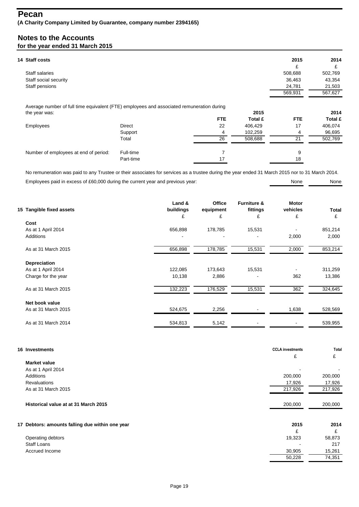| 14 Staff costs                                                                            |               |            |         | 2015       | 2014           |
|-------------------------------------------------------------------------------------------|---------------|------------|---------|------------|----------------|
|                                                                                           |               |            |         | £          | £              |
| Staff salaries                                                                            |               |            |         | 508,688    | 502,769        |
| Staff social security                                                                     |               |            |         | 36,463     | 43,354         |
| Staff pensions                                                                            |               |            |         | 24,781     | 21,503         |
|                                                                                           |               |            |         | 569,931    | 567,627        |
|                                                                                           |               |            |         |            |                |
| Average number of full time equivalent (FTE) employees and associated remuneration during |               |            |         |            |                |
| the year was:                                                                             |               |            | 2015    |            | 2014           |
|                                                                                           |               | <b>FTE</b> | Total £ | <b>FTE</b> | <b>Total £</b> |
| Employees                                                                                 | <b>Direct</b> | 22         | 406,429 | 17         | 406,074        |
|                                                                                           | Support       | 4          | 102,259 | 4          | 96,695         |
|                                                                                           | Total         | 26         | 508,688 | 21         | 502,769        |
| Number of employees at end of period:                                                     | Full-time     |            |         | 9          |                |

Employees paid in excess of £60,000 during the current year and previous year: None None None None None No remuneration was paid to any Trustee or their associates for services as a trustee during the year ended 31 March 2015 nor to 31 March 2014.

| 15 Tangible fixed assets | Land &<br>buildings | <b>Office</b><br>equipment | <b>Furniture &amp;</b><br>fittings | Motor<br>vehicles | <b>Total</b> |
|--------------------------|---------------------|----------------------------|------------------------------------|-------------------|--------------|
|                          | £                   | £                          | £                                  | £                 | £            |
| Cost                     |                     |                            |                                    |                   |              |
| As at 1 April 2014       | 656,898             | 178,785                    | 15,531                             |                   | 851,214      |
| <b>Additions</b>         |                     | $\blacksquare$             |                                    | 2,000             | 2,000        |
| As at 31 March 2015      | 656,898             | 178,785                    | 15,531                             | 2,000             | 853,214      |
| <b>Depreciation</b>      |                     |                            |                                    |                   |              |
| As at 1 April 2014       | 122,085             | 173,643                    | 15,531                             |                   | 311,259      |
| Charge for the year      | 10,138              | 2,886                      |                                    | 362               | 13,386       |
| As at 31 March 2015      | 132,223             | 176,529                    | 15,531                             | 362               | 324,645      |
| Net book value           |                     |                            |                                    |                   |              |
| As at 31 March 2015      | 524,675             | 2,256                      |                                    | 1,638             | 528,569      |
| As at 31 March 2014      | 534,813             | 5,142                      |                                    |                   | 539,955      |

| 16 Investments                                  | <b>CCLA</b> investments<br>£ | Total<br>£ |
|-------------------------------------------------|------------------------------|------------|
| <b>Market value</b>                             |                              |            |
| As at 1 April 2014                              |                              |            |
| Additions                                       | 200,000                      | 200,000    |
| <b>Revaluations</b>                             | 17,926                       | 17,926     |
| As at 31 March 2015                             | 217,926                      | 217,926    |
| Historical value at at 31 March 2015            | 200,000                      | 200,000    |
| 17 Debtors: amounts falling due within one year | 2015                         | 2014       |
|                                                 | £                            | £          |
| Operating debtors                               | 19,323                       | 58,873     |
| <b>Staff Loans</b>                              |                              | 217        |
| Accrued Income                                  | 30,905                       | 15,261     |
|                                                 | 50,228                       | 74,351     |
|                                                 |                              |            |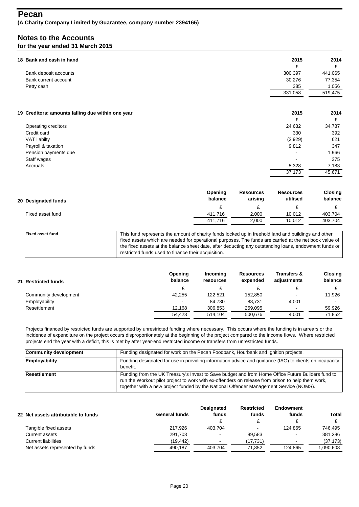### **Pecan (A Charity Company Limited by Guarantee, company number 2394165)**

## **Notes to the Accounts for the year ended 31 March 2015**

| 18 Bank and cash in hand |                                                   | 2015    | 2014    |
|--------------------------|---------------------------------------------------|---------|---------|
|                          |                                                   | £       | £       |
|                          | Bank deposit accounts                             | 300,397 | 441,065 |
| Bank current account     |                                                   | 30,276  | 77,354  |
| Petty cash               |                                                   | 385     | 1,056   |
|                          |                                                   | 331,058 | 519,475 |
|                          |                                                   |         |         |
|                          | 19 Creditors: amounts falling due within one year | 2015    | 2014    |
|                          |                                                   | £       | £       |
| Operating creditors      |                                                   | 24,632  | 34,787  |
| Credit card              |                                                   | 330     | 392     |
| <b>VAT liabilty</b>      |                                                   | (2,929) | 621     |
| Payroll & taxation       |                                                   | 9,812   | 347     |
|                          | Pension payments due                              |         | 1,966   |
| Staff wages              |                                                   |         | 375     |
| Accruals                 |                                                   | 5,328   | 7,183   |
|                          |                                                   | 37,173  | 45,671  |

| 20 Designated funds | Opening<br>balance | <b>Resources</b><br>arising | <b>Resources</b><br>utilised | Closing<br>balance |
|---------------------|--------------------|-----------------------------|------------------------------|--------------------|
|                     |                    |                             |                              |                    |
| Fixed asset fund    | 411.716            | 2,000                       | 10,012                       | 403,704            |
|                     | 411.716            | 2,000                       | 10,012                       | 403,704            |
|                     |                    |                             |                              |                    |

| <b>Fixed asset fund</b> | This fund represents the amount of charity funds locked up in freehold land and buildings and other    |
|-------------------------|--------------------------------------------------------------------------------------------------------|
|                         | fixed assets which are needed for operational purposes. The funds are carried at the net book value of |
|                         | the fixed assets at the balance sheet date, after deducting any outstanding loans, endowment funds or  |
|                         | restricted funds used to finance their acquisition.                                                    |
|                         |                                                                                                        |

|  | 21 Restricted funds   | Opening<br>balance | Incomina<br>resources | <b>Resources</b><br>expended | <b>Transfers &amp;</b><br>adjustments | Closing<br>balance |
|--|-----------------------|--------------------|-----------------------|------------------------------|---------------------------------------|--------------------|
|  |                       |                    |                       |                              |                                       |                    |
|  | Community development | 42,255             | 122.521               | 152.850                      | $\overline{\phantom{0}}$              | 11.926             |
|  | Employability         | $\sim$             | 84.730                | 88.731                       | 4,001                                 |                    |
|  | Resettlement          | 12.168             | 306.853               | 259.095                      | $\overline{\phantom{0}}$              | 59.926             |
|  |                       | 54.423             | 514.104               | 500.676                      | 4.001                                 | 71,852             |

Projects financed by restricted funds are supported by unrestricted funding where necessary. This occurs where the funding is in arrears or the incidence of expenditure on the project occurs disproportionately at the beginning of the project compared to the income flows. Where restricted projects end the year with a deficit, this is met by after year-end restricted income or transfers from unrestricted funds.

| <b>Community development</b> | Funding designated for work on the Pecan Foodbank, Hourbank and Ignition projects.                                                                                                                                                                                                               |
|------------------------------|--------------------------------------------------------------------------------------------------------------------------------------------------------------------------------------------------------------------------------------------------------------------------------------------------|
| Employability                | Funding designated for use in providing information advice and guidance (IAG) to clients on incapacity<br>benefit.                                                                                                                                                                               |
| Resettlement                 | Funding from the UK Treasury's Invest to Save budget and from Home Office Future Builders fund to<br>run the Workout pilot project to work with ex-offenders on release from prison to help them work,<br>together with a new project funded by the National Offender Management Service (NOMS). |

| 22 Net assets attributable to funds | General funds | <b>Designated</b><br>funds | Restricted<br>funds | Endowment<br>funds       | <b>Total</b> |
|-------------------------------------|---------------|----------------------------|---------------------|--------------------------|--------------|
|                                     |               |                            |                     |                          |              |
| Tangible fixed assets               | 217.926       | 403.704                    |                     | 124.865                  | 746.495      |
| Current assets                      | 291.703       | $\sim$                     | 89.583              | $\overline{\phantom{0}}$ | 381,286      |
| <b>Current liabilities</b>          | (19.442)      | $\overline{\phantom{0}}$   | (17,731)            | -                        | (37, 173)    |
| Net assets represented by funds     | 490.187       | 403.704                    | 71.852              | 124,865                  | 1,090,608    |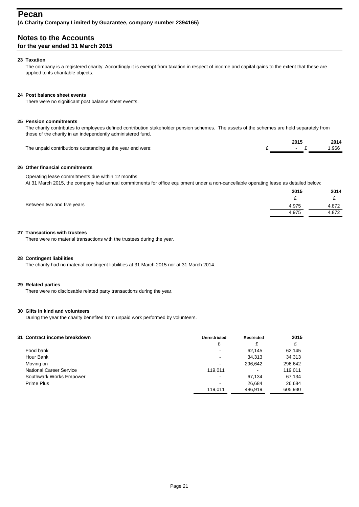### **Pecan (A Charity Company Limited by Guarantee, company number 2394165)**

**Notes to the Accounts**

### **for the year ended 31 March 2015**

### **23 Taxation**

The company is a registered charity. Accordingly it is exempt from taxation in respect of income and capital gains to the extent that these are applied to its charitable objects.

### **24 Post balance sheet events**

There were no significant post balance sheet events.

### **25 Pension commitments**

The charity contributes to employees defined contribution stakeholder pension schemes. The assets of the schemes are held separately from those of the charity in an independently administered fund.

|                                                            | 201'                                     | 2014  |
|------------------------------------------------------------|------------------------------------------|-------|
| The unpaid contributions outstanding at the year end were: | $\mathcal{L}$ . The set of $\mathcal{L}$ | 1.966 |

### **26 Other financial commitments**

### Operating lease commitments due within 12 months

At 31 March 2015, the company had annual commitments for office equipment under a non-cancellable operating lease as detailed below:

|                            | 2015  | 2014  |
|----------------------------|-------|-------|
|                            | -     | -     |
| Between two and five years | 4.975 | 4.872 |
|                            | 4.975 | 4,872 |
|                            |       |       |

### **27 Transactions with trustees**

There were no material transactions with the trustees during the year.

### **28 Contingent liabilities**

The charity had no material contingent liabilities at 31 March 2015 nor at 31 March 2014.

### **29 Related parties**

There were no disclosable related party transactions during the year.

### **30 Gifts in kind and volunteers**

During the year the charity benefited from unpaid work performed by volunteers.

| 31 Contract income breakdown   | <b>Unrestricted</b>      | <b>Restricted</b>        | 2015    |
|--------------------------------|--------------------------|--------------------------|---------|
|                                | £                        | £                        | £       |
| Food bank                      | -                        | 62.145                   | 62,145  |
| Hour Bank                      | -                        | 34,313                   | 34,313  |
| Moving on                      | $\overline{\phantom{0}}$ | 296.642                  | 296,642 |
| <b>National Career Service</b> | 119.011                  | $\overline{\phantom{0}}$ | 119.011 |
| Southwark Works Empower        | $\overline{\phantom{0}}$ | 67.134                   | 67,134  |
| Prime Plus                     | -                        | 26.684                   | 26,684  |
|                                | 119.011                  | 486.919                  | 605.930 |
|                                |                          |                          |         |